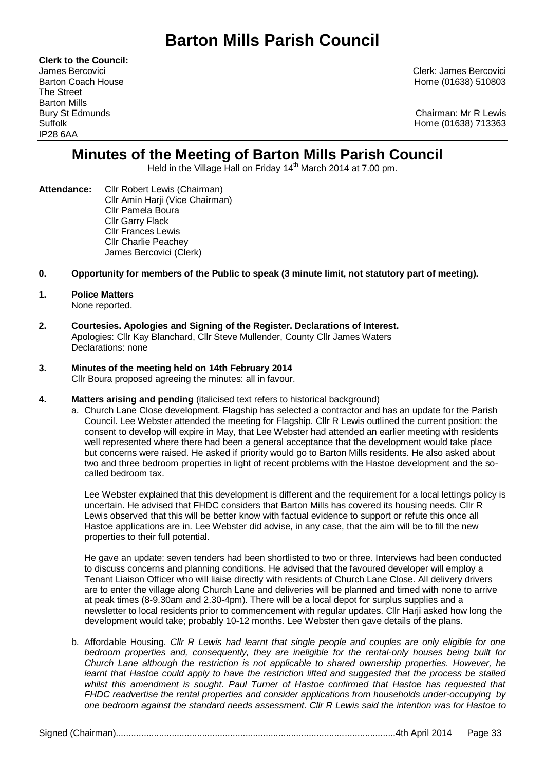# **Barton Mills Parish Council**

**Clerk to the Council:** The Street Barton Mills IP28 6AA

James Bercovici Clerk: James Bercovici Barton Coach House **Home (01638)** 510803

Bury St Edmunds Chairman: Mr R Lewis Suffolk Home (01638) 713363

# **Minutes of the Meeting of Barton Mills Parish Council**

Held in the Village Hall on Friday 14<sup>th</sup> March 2014 at 7.00 pm.

- **Attendance:** Cllr Robert Lewis (Chairman) Cllr Amin Harji (Vice Chairman) Cllr Pamela Boura Cllr Garry Flack Cllr Frances Lewis Cllr Charlie Peachey James Bercovici (Clerk)
- **0. Opportunity for members of the Public to speak (3 minute limit, not statutory part of meeting).**

#### **1. Police Matters** None reported.

**2. Courtesies. Apologies and Signing of the Register. Declarations of Interest.** Apologies: Cllr Kay Blanchard, Cllr Steve Mullender, County Cllr James Waters Declarations: none

# **3. Minutes of the meeting held on 14th February 2014**

Cllr Boura proposed agreeing the minutes: all in favour.

- **4. Matters arising and pending** (italicised text refers to historical background)
	- a. Church Lane Close development. Flagship has selected a contractor and has an update for the Parish Council. Lee Webster attended the meeting for Flagship. Cllr R Lewis outlined the current position: the consent to develop will expire in May, that Lee Webster had attended an earlier meeting with residents well represented where there had been a general acceptance that the development would take place but concerns were raised. He asked if priority would go to Barton Mills residents. He also asked about two and three bedroom properties in light of recent problems with the Hastoe development and the socalled bedroom tax.

Lee Webster explained that this development is different and the requirement for a local lettings policy is uncertain. He advised that FHDC considers that Barton Mills has covered its housing needs. Cllr R Lewis observed that this will be better know with factual evidence to support or refute this once all Hastoe applications are in. Lee Webster did advise, in any case, that the aim will be to fill the new properties to their full potential.

He gave an update: seven tenders had been shortlisted to two or three. Interviews had been conducted to discuss concerns and planning conditions. He advised that the favoured developer will employ a Tenant Liaison Officer who will liaise directly with residents of Church Lane Close. All delivery drivers are to enter the village along Church Lane and deliveries will be planned and timed with none to arrive at peak times (8-9.30am and 2.30-4pm). There will be a local depot for surplus supplies and a newsletter to local residents prior to commencement with regular updates. Cllr Harji asked how long the development would take; probably 10-12 months. Lee Webster then gave details of the plans.

b. Affordable Housing. *Cllr R Lewis had learnt that single people and couples are only eligible for one bedroom properties and, consequently, they are ineligible for the rental-only houses being built for Church Lane although the restriction is not applicable to shared ownership properties. However, he*  learnt that Hastoe could apply to have the restriction lifted and suggested that the process be stalled whilst this amendment is sought. Paul Turner of Hastoe confirmed that Hastoe has requested that *FHDC readvertise the rental properties and consider applications from households under-occupying by one bedroom against the standard needs assessment. Cllr R Lewis said the intention was for Hastoe to*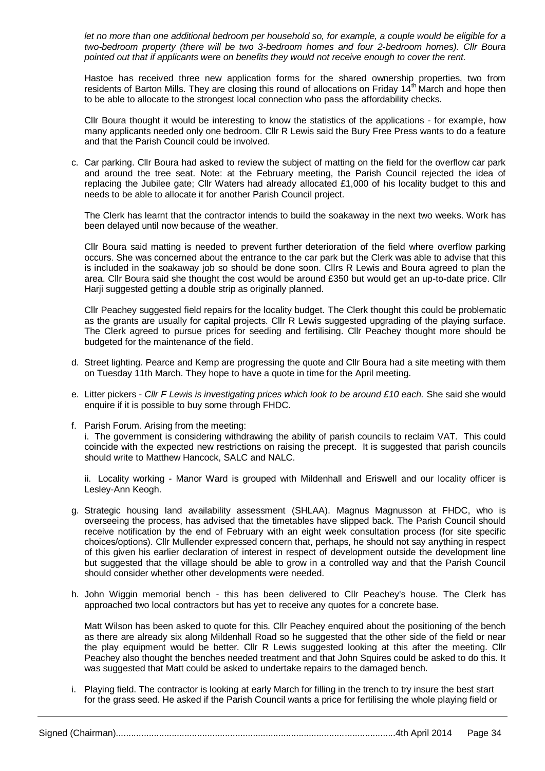*let no more than one additional bedroom per household so, for example, a couple would be eligible for a two-bedroom property (there will be two 3-bedroom homes and four 2-bedroom homes). Cllr Boura pointed out that if applicants were on benefits they would not receive enough to cover the rent.* 

Hastoe has received three new application forms for the shared ownership properties, two from residents of Barton Mills. They are closing this round of allocations on Friday 14<sup>th</sup> March and hope then to be able to allocate to the strongest local connection who pass the affordability checks.

Cllr Boura thought it would be interesting to know the statistics of the applications - for example, how many applicants needed only one bedroom. Cllr R Lewis said the Bury Free Press wants to do a feature and that the Parish Council could be involved.

c. Car parking. Cllr Boura had asked to review the subject of matting on the field for the overflow car park and around the tree seat. Note: at the February meeting, the Parish Council rejected the idea of replacing the Jubilee gate; Cllr Waters had already allocated £1,000 of his locality budget to this and needs to be able to allocate it for another Parish Council project.

The Clerk has learnt that the contractor intends to build the soakaway in the next two weeks. Work has been delayed until now because of the weather.

Cllr Boura said matting is needed to prevent further deterioration of the field where overflow parking occurs. She was concerned about the entrance to the car park but the Clerk was able to advise that this is included in the soakaway job so should be done soon. Cllrs R Lewis and Boura agreed to plan the area. Cllr Boura said she thought the cost would be around £350 but would get an up-to-date price. Cllr Harji suggested getting a double strip as originally planned.

Cllr Peachey suggested field repairs for the locality budget. The Clerk thought this could be problematic as the grants are usually for capital projects. Cllr R Lewis suggested upgrading of the playing surface. The Clerk agreed to pursue prices for seeding and fertilising. Cllr Peachey thought more should be budgeted for the maintenance of the field.

- d. Street lighting*.* Pearce and Kemp are progressing the quote and Cllr Boura had a site meeting with them on Tuesday 11th March. They hope to have a quote in time for the April meeting.
- e. Litter pickers *Cllr F Lewis is investigating prices which look to be around £10 each.* She said she would enquire if it is possible to buy some through FHDC.
- f. Parish Forum. Arising from the meeting:

i. The government is considering withdrawing the ability of parish councils to reclaim VAT. This could coincide with the expected new restrictions on raising the precept. It is suggested that parish councils should write to Matthew Hancock, SALC and NALC.

ii. Locality working - Manor Ward is grouped with Mildenhall and Eriswell and our locality officer is Lesley-Ann Keogh.

- g. [Strategic housing land availability assessment](https://www.gov.uk/government/publications/strategic-housing-land-availability-assessment-practice-guidance) (SHLAA). Magnus Magnusson at FHDC, who is overseeing the process, has advised that the timetables have slipped back. The Parish Council should receive notification by the end of February with an eight week consultation process (for site specific choices/options). Cllr Mullender expressed concern that, perhaps, he should not say anything in respect of this given his earlier declaration of interest in respect of development outside the development line but suggested that the village should be able to grow in a controlled way and that the Parish Council should consider whether other developments were needed.
- h. John Wiggin memorial bench this has been delivered to Cllr Peachey's house. The Clerk has approached two local contractors but has yet to receive any quotes for a concrete base.

Matt Wilson has been asked to quote for this. Cllr Peachey enquired about the positioning of the bench as there are already six along Mildenhall Road so he suggested that the other side of the field or near the play equipment would be better. Cllr R Lewis suggested looking at this after the meeting. Cllr Peachey also thought the benches needed treatment and that John Squires could be asked to do this. It was suggested that Matt could be asked to undertake repairs to the damaged bench.

i. Playing field. The contractor is looking at early March for filling in the trench to try insure the best start for the grass seed. He asked if the Parish Council wants a price for fertilising the whole playing field or

Signed (Chairman)..............................................................................................................4th April 2014 Page 34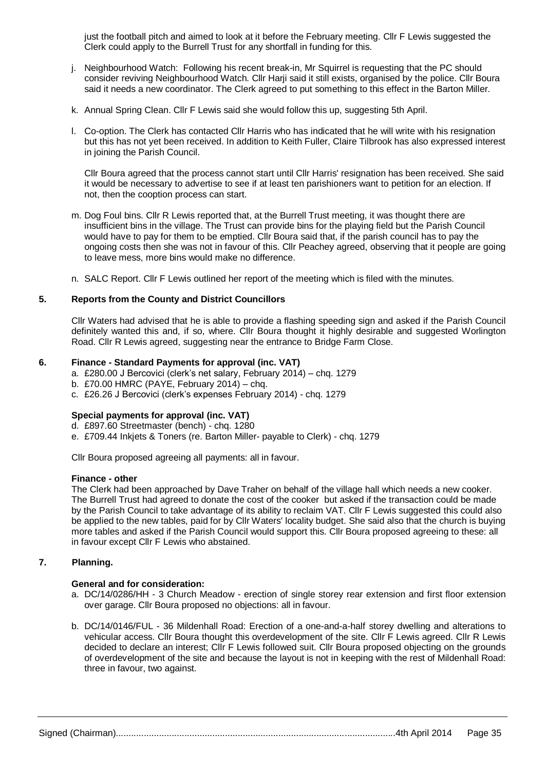just the football pitch and aimed to look at it before the February meeting. Cllr F Lewis suggested the Clerk could apply to the Burrell Trust for any shortfall in funding for this.

- j. Neighbourhood Watch: Following his recent break-in, Mr Squirrel is requesting that the PC should consider reviving Neighbourhood Watch. Cllr Harji said it still exists, organised by the police. Cllr Boura said it needs a new coordinator. The Clerk agreed to put something to this effect in the Barton Miller.
- k. Annual Spring Clean. Cllr F Lewis said she would follow this up, suggesting 5th April.
- l. Co-option. The Clerk has contacted Cllr Harris who has indicated that he will write with his resignation but this has not yet been received. In addition to Keith Fuller, Claire Tilbrook has also expressed interest in joining the Parish Council.

Cllr Boura agreed that the process cannot start until Cllr Harris' resignation has been received. She said it would be necessary to advertise to see if at least ten parishioners want to petition for an election. If not, then the cooption process can start.

- m. Dog Foul bins. Cllr R Lewis reported that, at the Burrell Trust meeting, it was thought there are insufficient bins in the village. The Trust can provide bins for the playing field but the Parish Council would have to pay for them to be emptied. Cllr Boura said that, if the parish council has to pay the ongoing costs then she was not in favour of this. Cllr Peachey agreed, observing that it people are going to leave mess, more bins would make no difference.
- n. SALC Report. Cllr F Lewis outlined her report of the meeting which is filed with the minutes.

# **5. Reports from the County and District Councillors**

Cllr Waters had advised that he is able to provide a flashing speeding sign and asked if the Parish Council definitely wanted this and, if so, where. Cllr Boura thought it highly desirable and suggested Worlington Road. Cllr R Lewis agreed, suggesting near the entrance to Bridge Farm Close.

# **6. Finance - Standard Payments for approval (inc. VAT)**

- a. £280.00 J Bercovici (clerk's net salary, February 2014) chq. 1279
- b. £70.00 HMRC (PAYE, February 2014) chq.
- c. £26.26 J Bercovici (clerk's expenses February 2014) chq. 1279

# **Special payments for approval (inc. VAT)**

- d. £897.60 Streetmaster (bench) chq. 1280
- e. £709.44 Inkjets & Toners (re. Barton Miller- payable to Clerk) chq. 1279

Cllr Boura proposed agreeing all payments: all in favour.

#### **Finance - other**

The Clerk had been approached by Dave Traher on behalf of the village hall which needs a new cooker. The Burrell Trust had agreed to donate the cost of the cooker but asked if the transaction could be made by the Parish Council to take advantage of its ability to reclaim VAT. Cllr F Lewis suggested this could also be applied to the new tables, paid for by Cllr Waters' locality budget. She said also that the church is buying more tables and asked if the Parish Council would support this. Cllr Boura proposed agreeing to these: all in favour except Cllr F Lewis who abstained.

# **7. Planning.**

# **General and for consideration:**

- a. DC/14/0286/HH 3 Church Meadow erection of single storey rear extension and first floor extension over garage. Cllr Boura proposed no objections: all in favour.
- b. DC/14/0146/FUL 36 Mildenhall Road: Erection of a one-and-a-half storey dwelling and alterations to vehicular access. Cllr Boura thought this overdevelopment of the site. Cllr F Lewis agreed. Cllr R Lewis decided to declare an interest; Cllr F Lewis followed suit. Cllr Boura proposed objecting on the grounds of overdevelopment of the site and because the layout is not in keeping with the rest of Mildenhall Road: three in favour, two against.